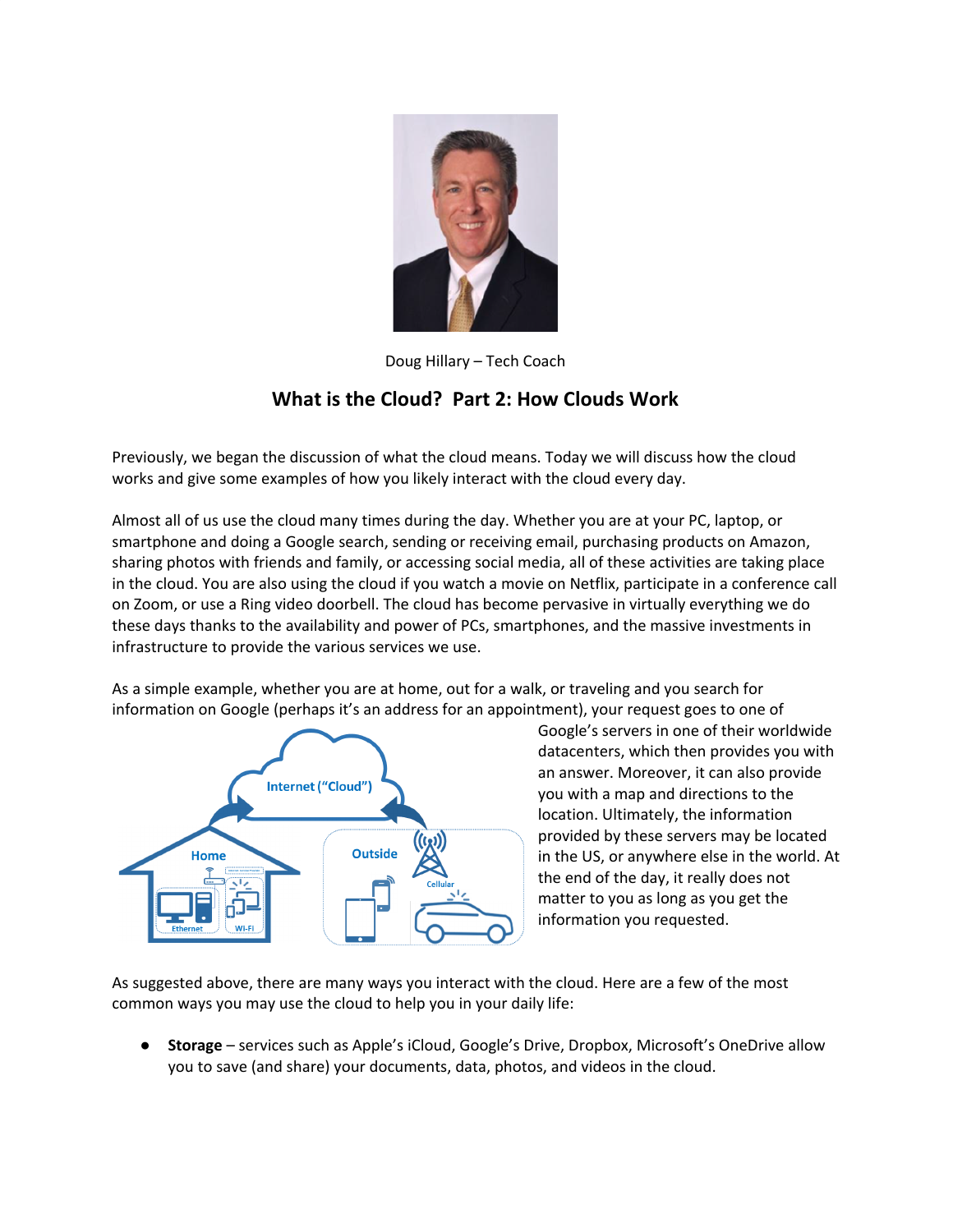

Doug Hillary – Tech Coach

## **What is the Cloud? Part 2: How Clouds Work**

Previously, we began the discussion of what the cloud means. Today we will discuss how the cloud works and give some examples of how you likely interact with the cloud every day.

Almost all of us use the cloud many times during the day. Whether you are at your PC, laptop, or smartphone and doing a Google search, sending or receiving email, purchasing products on Amazon, sharing photos with friends and family, or accessing social media, all of these activities are taking place in the cloud. You are also using the cloud if you watch a movie on Netflix, participate in a conference call on Zoom, or use a Ring video doorbell. The cloud has become pervasive in virtually everything we do these days thanks to the availability and power of PCs, smartphones, and the massive investments in infrastructure to provide the various services we use.

As a simple example, whether you are at home, out for a walk, or traveling and you search for information on Google (perhaps it's an address for an appointment), your request goes to one of



Google's servers in one of their worldwide datacenters, which then provides you with an answer. Moreover, it can also provide you with a map and directions to the location. Ultimately, the information provided by these servers may be located in the US, or anywhere else in the world. At the end of the day, it really does not matter to you as long as you get the information you requested.

As suggested above, there are many ways you interact with the cloud. Here are a few of the most common ways you may use the cloud to help you in your daily life:

**Storage** – services such as Apple's iCloud, Google's Drive, Dropbox, Microsoft's OneDrive allow you to save (and share) your documents, data, photos, and videos in the cloud.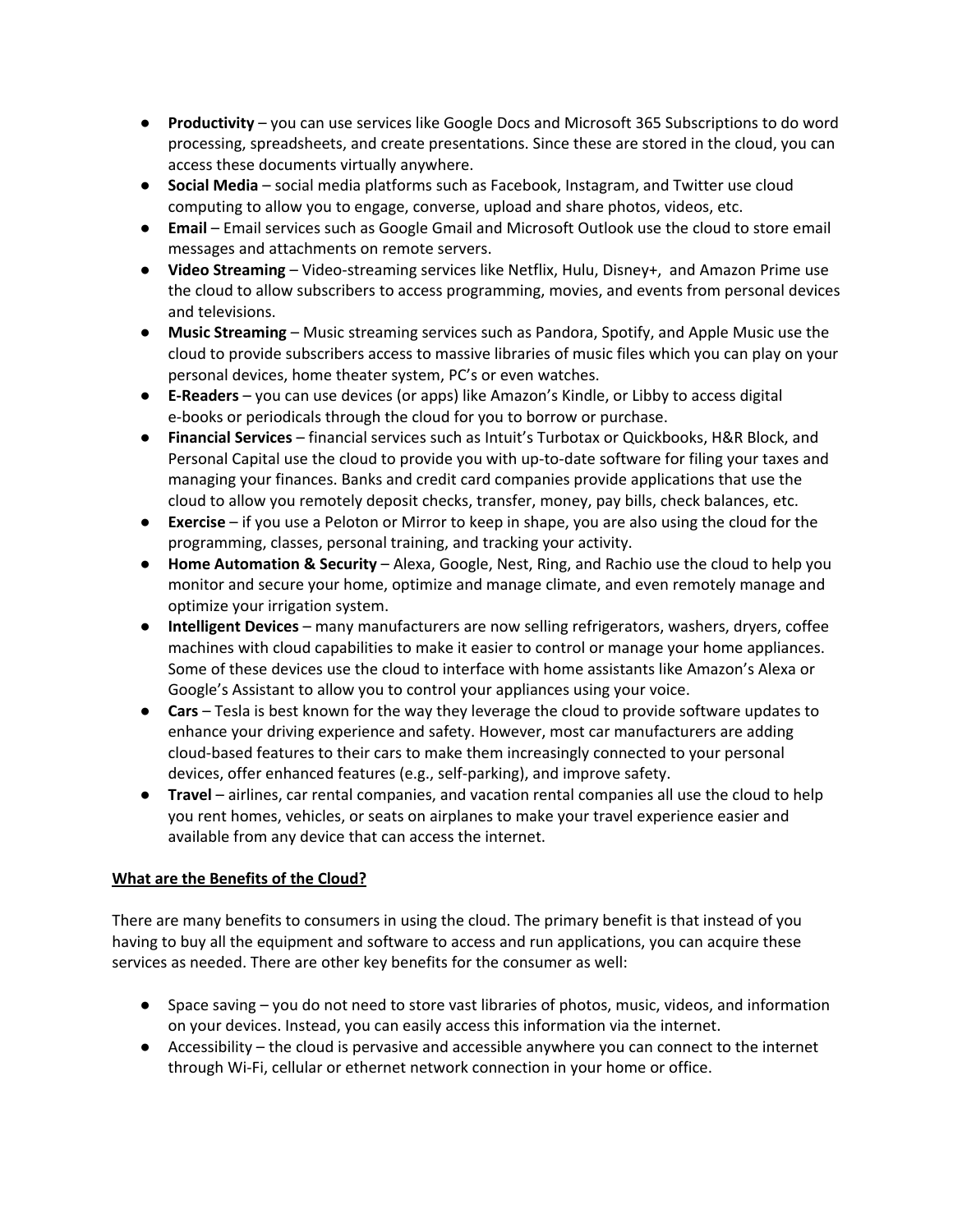- **Productivity** you can use services like Google Docs and Microsoft 365 Subscriptions to do word processing, spreadsheets, and create presentations. Since these are stored in the cloud, you can access these documents virtually anywhere.
- **Social Media** social media platforms such as Facebook, Instagram, and Twitter use cloud computing to allow you to engage, converse, upload and share photos, videos, etc.
- **Email** Email services such as Google Gmail and Microsoft Outlook use the cloud to store email messages and attachments on remote servers.
- **Video Streaming** Video-streaming services like Netflix, Hulu, Disney+, and Amazon Prime use the cloud to allow subscribers to access programming, movies, and events from personal devices and televisions.
- **Music Streaming** Music streaming services such as Pandora, Spotify, and Apple Music use the cloud to provide subscribers access to massive libraries of music files which you can play on your personal devices, home theater system, PC's or even watches.
- **E-Readers** you can use devices (or apps) like Amazon's Kindle, or Libby to access digital e-books or periodicals through the cloud for you to borrow or purchase.
- **Financial Services** financial services such as Intuit's Turbotax or Quickbooks, H&R Block, and Personal Capital use the cloud to provide you with up-to-date software for filing your taxes and managing your finances. Banks and credit card companies provide applications that use the cloud to allow you remotely deposit checks, transfer, money, pay bills, check balances, etc.
- **Exercise** if you use a Peloton or Mirror to keep in shape, you are also using the cloud for the programming, classes, personal training, and tracking your activity.
- **Home Automation & Security** Alexa, Google, Nest, Ring, and Rachio use the cloud to help you monitor and secure your home, optimize and manage climate, and even remotely manage and optimize your irrigation system.
- **Intelligent Devices** many manufacturers are now selling refrigerators, washers, dryers, coffee machines with cloud capabilities to make it easier to control or manage your home appliances. Some of these devices use the cloud to interface with home assistants like Amazon's Alexa or Google's Assistant to allow you to control your appliances using your voice.
- **Cars** Tesla is best known for the way they leverage the cloud to provide software updates to enhance your driving experience and safety. However, most car manufacturers are adding cloud-based features to their cars to make them increasingly connected to your personal devices, offer enhanced features (e.g., self-parking), and improve safety.
- **Travel** airlines, car rental companies, and vacation rental companies all use the cloud to help you rent homes, vehicles, or seats on airplanes to make your travel experience easier and available from any device that can access the internet.

## **What are the Benefits of the Cloud?**

There are many benefits to consumers in using the cloud. The primary benefit is that instead of you having to buy all the equipment and software to access and run applications, you can acquire these services as needed. There are other key benefits for the consumer as well:

- Space saving you do not need to store vast libraries of photos, music, videos, and information on your devices. Instead, you can easily access this information via the internet.
- Accessibility the cloud is pervasive and accessible anywhere you can connect to the internet through Wi-Fi, cellular or ethernet network connection in your home or office.